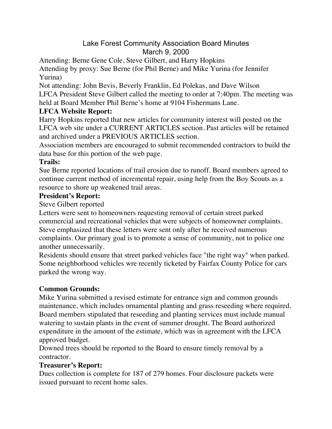# Lake Forest Community Association Board Minutes March 9, 2000

Attending: Berne Gene Cole, Steve Gilbert, and Harry Hopkins

Attending by proxy: Sue Berne (for Phil Berne) and Mike Yurina (for Jennifer Yurina)

Not attending: John Bevis, Beverly Franklin, Ed Polekas, and Dave Wilson LFCA President Steve Gilbert called the meeting to order at 7:40pm. The meeting was held at Board Member Phil Berne's home at 9104 Fishermans Lane.

## **LFCA Website Report:**

Harry Hopkins reported that new articles for community interest will posted on the LFCA web site under a CURRENT ARTICLES section. Past articles will be retained and archived under a PREVIOUS ARTICLES section.

Association members are encouraged to submit recommended contractors to build the data base for this portion of the web page.

## **Trails:**

Sue Berne reported locations of trail erosion due to runoff. Board members agreed to continue current method of incremental repair, using help from the Boy Scouts as a resource to shore up weakened trail areas.

## **President's Report:**

Steve Gilbert reported

Letters were sent to homeowners requesting removal of certain street parked commercial and recreational vehicles that were subjects of homeowner complaints. Steve emphasized that these letters were sent only after he received numerous complaints. Our primary goal is to promote a sense of community, not to police one another unnecessarily.

Residents should ensure that street parked vehicles face "the right way" when parked. Some neighborhood vehicles wre recently ticketed by Fairfax County Police for cars parked the wrong way.

# **Common Grounds:**

Mike Yurina submitted a revised estimate for entrance sign and common grounds maintenance, which includes ornamental planting and grass reseeding where required. Board members stipulated that reseeding and planting services must include manual watering to sustain plants in the event of summer drought. The Board authorized expenditure in the amount of the estimate, which was in agreement with the LFCA approved budget.

Downed trees should be reported to the Board to ensure timely removal by a contractor.

#### **Treasurer's Report:**

Dues collection is complete for 187 of 279 homes. Four disclosure packets were issued pursuant to recent home sales.